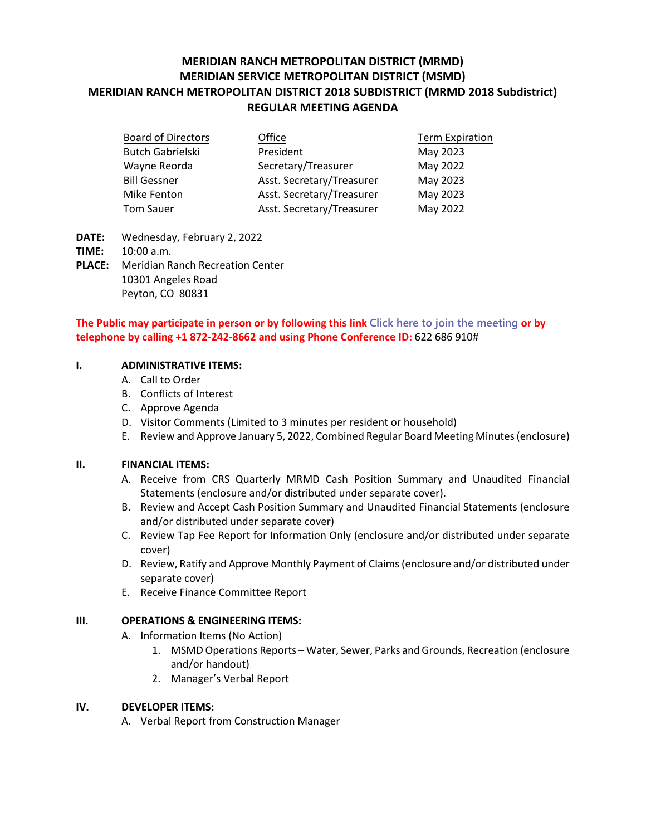# **MERIDIAN RANCH METROPOLITAN DISTRICT (MRMD) MERIDIAN SERVICE METROPOLITAN DISTRICT (MSMD) MERIDIAN RANCH METROPOLITAN DISTRICT 2018 SUBDISTRICT (MRMD 2018 Subdistrict) REGULAR MEETING AGENDA**

| <b>Board of Directors</b> | Office                    | <b>Term Expiration</b> |
|---------------------------|---------------------------|------------------------|
| <b>Butch Gabrielski</b>   | President                 | May 2023               |
| Wayne Reorda              | Secretary/Treasurer       | May 2022               |
| <b>Bill Gessner</b>       | Asst. Secretary/Treasurer | May 2023               |
| Mike Fenton               | Asst. Secretary/Treasurer | May 2023               |
| <b>Tom Sauer</b>          | Asst. Secretary/Treasurer | May 2022               |

- **DATE:** Wednesday, February 2, 2022
- **TIME:** 10:00 a.m.
- **PLACE:** Meridian Ranch Recreation Center 10301 Angeles Road Peyton, CO 80831

## **The Public may participate in person or by following this link [Click here to join the meeting](https://teams.microsoft.com/l/meetup-join/19%3ameeting_ODBlYTQ3ZTYtMWE3Yi00ODIwLWI4MWYtMDY2NTc2ZjgzZjU3%40thread.v2/0?context=%7b%22Tid%22%3a%22ddbf1e07-ec1e-4dc6-8ef3-1a31c2da785b%22%2c%22Oid%22%3a%22778ad138-ba67-4d4d-bdb1-39557c30639d%22%7d) or by telephone by calling +1 872-242-8662 and using Phone Conference ID:** 622 686 910#

## **I. ADMINISTRATIVE ITEMS:**

- A. Call to Order
- B. Conflicts of Interest
- C. Approve Agenda
- D. Visitor Comments (Limited to 3 minutes per resident or household)
- E. Review and Approve January 5, 2022, Combined Regular Board Meeting Minutes (enclosure)

## **II. FINANCIAL ITEMS:**

- A. Receive from CRS Quarterly MRMD Cash Position Summary and Unaudited Financial Statements (enclosure and/or distributed under separate cover).
- B. Review and Accept Cash Position Summary and Unaudited Financial Statements (enclosure and/or distributed under separate cover)
- C. Review Tap Fee Report for Information Only (enclosure and/or distributed under separate cover)
- D. Review, Ratify and Approve Monthly Payment of Claims (enclosure and/or distributed under separate cover)
- E. Receive Finance Committee Report

## **III. OPERATIONS & ENGINEERING ITEMS:**

- A. Information Items (No Action)
	- 1. MSMD Operations Reports Water, Sewer, Parks and Grounds, Recreation (enclosure and/or handout)
	- 2. Manager's Verbal Report

## **IV. DEVELOPER ITEMS:**

A. Verbal Report from Construction Manager